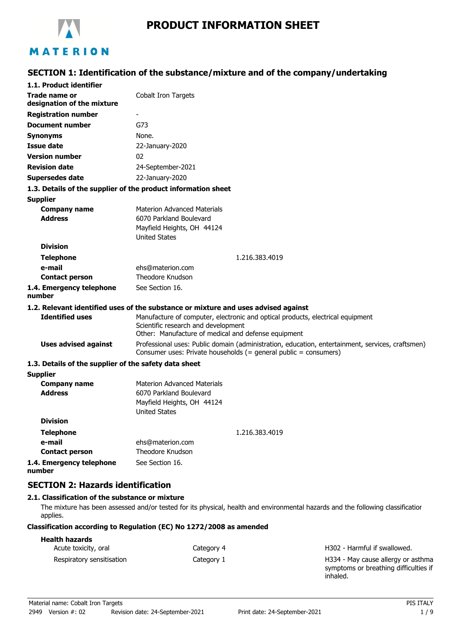

# MATERION

## **SECTION 1: Identification of the substance/mixture and of the company/undertaking**

| 1.1. Product identifier                               |                                                                                                                                                                              |
|-------------------------------------------------------|------------------------------------------------------------------------------------------------------------------------------------------------------------------------------|
| Trade name or<br>designation of the mixture           | Cobalt Iron Targets                                                                                                                                                          |
| <b>Registration number</b>                            |                                                                                                                                                                              |
| <b>Document number</b>                                | G73                                                                                                                                                                          |
| Synonyms                                              | None.                                                                                                                                                                        |
| <b>Issue date</b>                                     | 22-January-2020                                                                                                                                                              |
| <b>Version number</b>                                 | 02                                                                                                                                                                           |
| <b>Revision date</b>                                  | 24-September-2021                                                                                                                                                            |
| Supersedes date                                       | 22-January-2020                                                                                                                                                              |
|                                                       | 1.3. Details of the supplier of the product information sheet                                                                                                                |
| <b>Supplier</b>                                       |                                                                                                                                                                              |
| <b>Company name</b><br><b>Address</b>                 | <b>Materion Advanced Materials</b><br>6070 Parkland Boulevard<br>Mayfield Heights, OH 44124<br><b>United States</b>                                                          |
| <b>Division</b>                                       |                                                                                                                                                                              |
| <b>Telephone</b>                                      | 1.216.383.4019                                                                                                                                                               |
| e-mail                                                | ehs@materion.com                                                                                                                                                             |
| <b>Contact person</b>                                 | Theodore Knudson                                                                                                                                                             |
| 1.4. Emergency telephone<br>number                    | See Section 16.                                                                                                                                                              |
|                                                       | 1.2. Relevant identified uses of the substance or mixture and uses advised against                                                                                           |
| <b>Identified uses</b>                                | Manufacture of computer, electronic and optical products, electrical equipment<br>Scientific research and development<br>Other: Manufacture of medical and defense equipment |
| <b>Uses advised against</b>                           | Professional uses: Public domain (administration, education, entertainment, services, craftsmen)<br>Consumer uses: Private households (= general public = consumers)         |
| 1.3. Details of the supplier of the safety data sheet |                                                                                                                                                                              |
| <b>Supplier</b>                                       |                                                                                                                                                                              |
| <b>Company name</b><br><b>Address</b>                 | <b>Materion Advanced Materials</b><br>6070 Parkland Boulevard<br>Mayfield Heights, OH 44124<br><b>United States</b>                                                          |
| <b>Division</b>                                       |                                                                                                                                                                              |
| <b>Telephone</b>                                      | 1.216.383.4019                                                                                                                                                               |
| e-mail                                                | ehs@materion.com                                                                                                                                                             |
| <b>Contact person</b>                                 | <b>Theodore Knudson</b>                                                                                                                                                      |
| 1.4. Emergency telephone<br>number                    | See Section 16.                                                                                                                                                              |

### **SECTION 2: Hazards identification**

#### **2.1. Classification of the substance or mixture**

The mixture has been assessed and/or tested for its physical, health and environmental hazards and the following classification applies.

#### **Classification according to Regulation (EC) No 1272/2008 as amended**

| <b>Health hazards</b>     |            |                                                                                         |
|---------------------------|------------|-----------------------------------------------------------------------------------------|
| Acute toxicity, oral      | Category 4 | H302 - Harmful if swallowed.                                                            |
| Respiratory sensitisation | Category 1 | H334 - May cause allergy or asthma<br>symptoms or breathing difficulties if<br>inhaled. |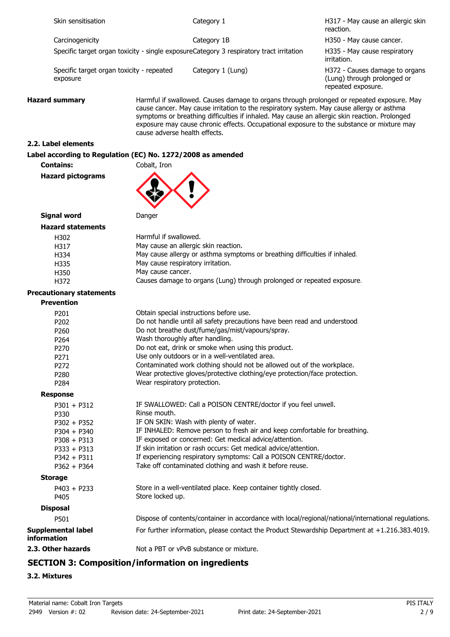|             | Skin sensitisation                                          |                                   | Category 1                                                                                                                                                                                                                                                                                                                                                                           | H317 - May cause an allergic skin<br>reaction.                                      |
|-------------|-------------------------------------------------------------|-----------------------------------|--------------------------------------------------------------------------------------------------------------------------------------------------------------------------------------------------------------------------------------------------------------------------------------------------------------------------------------------------------------------------------------|-------------------------------------------------------------------------------------|
|             | Carcinogenicity                                             |                                   | Category 1B                                                                                                                                                                                                                                                                                                                                                                          | H350 - May cause cancer.                                                            |
|             |                                                             |                                   | Specific target organ toxicity - single exposureCategory 3 respiratory tract irritation                                                                                                                                                                                                                                                                                              | H335 - May cause respiratory<br>irritation.                                         |
|             | Specific target organ toxicity - repeated<br>exposure       |                                   | Category 1 (Lung)                                                                                                                                                                                                                                                                                                                                                                    | H372 - Causes damage to organs<br>(Lung) through prolonged or<br>repeated exposure. |
|             | <b>Hazard summary</b><br>cause adverse health effects.      |                                   | Harmful if swallowed. Causes damage to organs through prolonged or repeated exposure. May<br>cause cancer. May cause irritation to the respiratory system. May cause allergy or asthma<br>symptoms or breathing difficulties if inhaled. May cause an allergic skin reaction. Prolonged<br>exposure may cause chronic effects. Occupational exposure to the substance or mixture may |                                                                                     |
|             | 2.2. Label elements                                         |                                   |                                                                                                                                                                                                                                                                                                                                                                                      |                                                                                     |
|             | Label according to Regulation (EC) No. 1272/2008 as amended |                                   |                                                                                                                                                                                                                                                                                                                                                                                      |                                                                                     |
|             | <b>Contains:</b>                                            | Cobalt, Iron                      |                                                                                                                                                                                                                                                                                                                                                                                      |                                                                                     |
|             | <b>Hazard pictograms</b>                                    |                                   |                                                                                                                                                                                                                                                                                                                                                                                      |                                                                                     |
|             | <b>Signal word</b>                                          | Danger                            |                                                                                                                                                                                                                                                                                                                                                                                      |                                                                                     |
|             | <b>Hazard statements</b>                                    |                                   |                                                                                                                                                                                                                                                                                                                                                                                      |                                                                                     |
|             | H302                                                        | Harmful if swallowed.             |                                                                                                                                                                                                                                                                                                                                                                                      |                                                                                     |
|             | H317                                                        |                                   | May cause an allergic skin reaction.                                                                                                                                                                                                                                                                                                                                                 |                                                                                     |
|             | H334                                                        |                                   | May cause allergy or asthma symptoms or breathing difficulties if inhaled.                                                                                                                                                                                                                                                                                                           |                                                                                     |
|             | H335                                                        | May cause respiratory irritation. |                                                                                                                                                                                                                                                                                                                                                                                      |                                                                                     |
|             | H350                                                        | May cause cancer.                 |                                                                                                                                                                                                                                                                                                                                                                                      |                                                                                     |
|             | H372                                                        |                                   | Causes damage to organs (Lung) through prolonged or repeated exposure.                                                                                                                                                                                                                                                                                                               |                                                                                     |
|             |                                                             |                                   |                                                                                                                                                                                                                                                                                                                                                                                      |                                                                                     |
|             | <b>Precautionary statements</b>                             |                                   |                                                                                                                                                                                                                                                                                                                                                                                      |                                                                                     |
|             | <b>Prevention</b>                                           |                                   |                                                                                                                                                                                                                                                                                                                                                                                      |                                                                                     |
|             | P201                                                        |                                   | Obtain special instructions before use.                                                                                                                                                                                                                                                                                                                                              |                                                                                     |
|             | P202                                                        |                                   | Do not handle until all safety precautions have been read and understood.                                                                                                                                                                                                                                                                                                            |                                                                                     |
|             | P260                                                        |                                   | Do not breathe dust/fume/gas/mist/vapours/spray.                                                                                                                                                                                                                                                                                                                                     |                                                                                     |
|             | P <sub>264</sub>                                            | Wash thoroughly after handling.   |                                                                                                                                                                                                                                                                                                                                                                                      |                                                                                     |
|             | P270                                                        |                                   | Do not eat, drink or smoke when using this product.                                                                                                                                                                                                                                                                                                                                  |                                                                                     |
|             | P271                                                        |                                   | Use only outdoors or in a well-ventilated area.                                                                                                                                                                                                                                                                                                                                      |                                                                                     |
|             | P272                                                        |                                   | Contaminated work clothing should not be allowed out of the workplace.                                                                                                                                                                                                                                                                                                               |                                                                                     |
|             | P280                                                        |                                   | Wear protective gloves/protective clothing/eye protection/face protection.                                                                                                                                                                                                                                                                                                           |                                                                                     |
|             | P284                                                        | Wear respiratory protection.      |                                                                                                                                                                                                                                                                                                                                                                                      |                                                                                     |
|             | <b>Response</b>                                             |                                   |                                                                                                                                                                                                                                                                                                                                                                                      |                                                                                     |
|             | $P301 + P312$                                               |                                   | IF SWALLOWED: Call a POISON CENTRE/doctor if you feel unwell.                                                                                                                                                                                                                                                                                                                        |                                                                                     |
|             | P330                                                        | Rinse mouth.                      |                                                                                                                                                                                                                                                                                                                                                                                      |                                                                                     |
|             | $P302 + P352$                                               |                                   | IF ON SKIN: Wash with plenty of water.                                                                                                                                                                                                                                                                                                                                               |                                                                                     |
|             | $P304 + P340$                                               |                                   | IF INHALED: Remove person to fresh air and keep comfortable for breathing.                                                                                                                                                                                                                                                                                                           |                                                                                     |
|             | $P308 + P313$                                               |                                   | IF exposed or concerned: Get medical advice/attention.                                                                                                                                                                                                                                                                                                                               |                                                                                     |
|             | $P333 + P313$                                               |                                   | If skin irritation or rash occurs: Get medical advice/attention.                                                                                                                                                                                                                                                                                                                     |                                                                                     |
|             | $P342 + P311$                                               |                                   | If experiencing respiratory symptoms: Call a POISON CENTRE/doctor.                                                                                                                                                                                                                                                                                                                   |                                                                                     |
|             | $P362 + P364$                                               |                                   | Take off contaminated clothing and wash it before reuse.                                                                                                                                                                                                                                                                                                                             |                                                                                     |
|             | <b>Storage</b>                                              |                                   |                                                                                                                                                                                                                                                                                                                                                                                      |                                                                                     |
|             | $P403 + P233$<br>P405                                       | Store locked up.                  | Store in a well-ventilated place. Keep container tightly closed.                                                                                                                                                                                                                                                                                                                     |                                                                                     |
|             |                                                             |                                   |                                                                                                                                                                                                                                                                                                                                                                                      |                                                                                     |
|             | <b>Disposal</b>                                             |                                   |                                                                                                                                                                                                                                                                                                                                                                                      |                                                                                     |
|             | P501                                                        |                                   | Dispose of contents/container in accordance with local/regional/national/international regulations.                                                                                                                                                                                                                                                                                  |                                                                                     |
| information | <b>Supplemental label</b>                                   |                                   | For further information, please contact the Product Stewardship Department at +1.216.383.4019.                                                                                                                                                                                                                                                                                       |                                                                                     |
|             | 2.3. Other hazards                                          |                                   | Not a PBT or vPvB substance or mixture.                                                                                                                                                                                                                                                                                                                                              |                                                                                     |
|             |                                                             |                                   |                                                                                                                                                                                                                                                                                                                                                                                      |                                                                                     |

## **SECTION 3: Composition/information on ingredients**

### **3.2. Mixtures**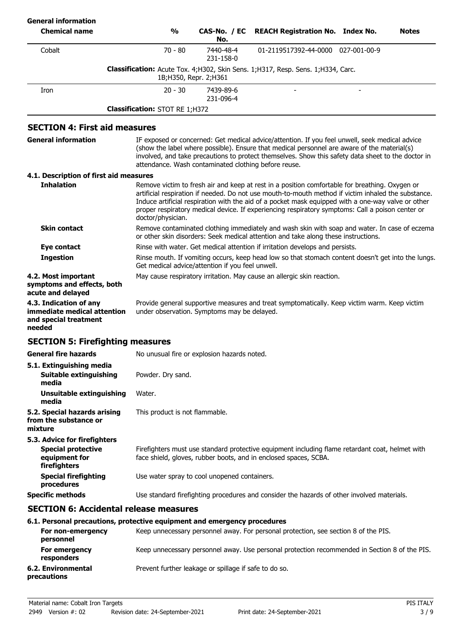| <b>General information</b>                                                               |                                       |                                                      |                                                                                                                                                                                                                                                                                                                                                                                                                 |              |
|------------------------------------------------------------------------------------------|---------------------------------------|------------------------------------------------------|-----------------------------------------------------------------------------------------------------------------------------------------------------------------------------------------------------------------------------------------------------------------------------------------------------------------------------------------------------------------------------------------------------------------|--------------|
| <b>Chemical name</b>                                                                     | $\frac{1}{2}$                         | CAS-No. / EC<br>No.                                  | <b>REACH Registration No. Index No.</b>                                                                                                                                                                                                                                                                                                                                                                         | <b>Notes</b> |
| Cobalt                                                                                   | $70 - 80$                             | 7440-48-4<br>231-158-0                               | 01-2119517392-44-0000 027-001-00-9                                                                                                                                                                                                                                                                                                                                                                              |              |
|                                                                                          |                                       | 1B; H350, Repr. 2; H361                              | Classification: Acute Tox. 4;H302, Skin Sens. 1;H317, Resp. Sens. 1;H334, Carc.                                                                                                                                                                                                                                                                                                                                 |              |
| Iron                                                                                     | $20 - 30$                             | 7439-89-6<br>231-096-4                               |                                                                                                                                                                                                                                                                                                                                                                                                                 |              |
|                                                                                          | <b>Classification: STOT RE 1;H372</b> |                                                      |                                                                                                                                                                                                                                                                                                                                                                                                                 |              |
| <b>SECTION 4: First aid measures</b>                                                     |                                       |                                                      |                                                                                                                                                                                                                                                                                                                                                                                                                 |              |
| <b>General information</b>                                                               |                                       | attendance. Wash contaminated clothing before reuse. | IF exposed or concerned: Get medical advice/attention. If you feel unwell, seek medical advice<br>(show the label where possible). Ensure that medical personnel are aware of the material(s)<br>involved, and take precautions to protect themselves. Show this safety data sheet to the doctor in                                                                                                             |              |
| 4.1. Description of first aid measures                                                   |                                       |                                                      |                                                                                                                                                                                                                                                                                                                                                                                                                 |              |
| <b>Inhalation</b>                                                                        | doctor/physician.                     |                                                      | Remove victim to fresh air and keep at rest in a position comfortable for breathing. Oxygen or<br>artificial respiration if needed. Do not use mouth-to-mouth method if victim inhaled the substance.<br>Induce artificial respiration with the aid of a pocket mask equipped with a one-way valve or other<br>proper respiratory medical device. If experiencing respiratory symptoms: Call a poison center or |              |
| <b>Skin contact</b>                                                                      |                                       |                                                      | Remove contaminated clothing immediately and wash skin with soap and water. In case of eczema<br>or other skin disorders: Seek medical attention and take along these instructions.                                                                                                                                                                                                                             |              |
| <b>Eye contact</b>                                                                       |                                       |                                                      | Rinse with water. Get medical attention if irritation develops and persists.                                                                                                                                                                                                                                                                                                                                    |              |
| <b>Ingestion</b>                                                                         |                                       | Get medical advice/attention if you feel unwell.     | Rinse mouth. If vomiting occurs, keep head low so that stomach content doesn't get into the lungs.                                                                                                                                                                                                                                                                                                              |              |
| 4.2. Most important<br>symptoms and effects, both<br>acute and delayed                   |                                       |                                                      | May cause respiratory irritation. May cause an allergic skin reaction.                                                                                                                                                                                                                                                                                                                                          |              |
| 4.3. Indication of any<br>immediate medical attention<br>and special treatment<br>needed |                                       | under observation. Symptoms may be delayed.          | Provide general supportive measures and treat symptomatically. Keep victim warm. Keep victim                                                                                                                                                                                                                                                                                                                    |              |
| <b>SECTION 5: Firefighting measures</b>                                                  |                                       |                                                      |                                                                                                                                                                                                                                                                                                                                                                                                                 |              |
| <b>General fire hazards</b>                                                              |                                       | No unusual fire or explosion hazards noted.          |                                                                                                                                                                                                                                                                                                                                                                                                                 |              |
| 5.1. Extinguishing media<br>Suitable extinguishing<br>media                              | Powder. Dry sand.                     |                                                      |                                                                                                                                                                                                                                                                                                                                                                                                                 |              |
| Unsuitable extinguishing<br>media                                                        | Water.                                |                                                      |                                                                                                                                                                                                                                                                                                                                                                                                                 |              |
| 5.2. Special hazards arising<br>from the substance or<br>mixture                         | This product is not flammable.        |                                                      |                                                                                                                                                                                                                                                                                                                                                                                                                 |              |
| 5.3. Advice for firefighters                                                             |                                       |                                                      |                                                                                                                                                                                                                                                                                                                                                                                                                 |              |
| <b>Special protective</b><br>equipment for<br>firefighters                               |                                       |                                                      | Firefighters must use standard protective equipment including flame retardant coat, helmet with<br>face shield, gloves, rubber boots, and in enclosed spaces, SCBA.                                                                                                                                                                                                                                             |              |
| <b>Special firefighting</b><br>procedures                                                |                                       | Use water spray to cool unopened containers.         |                                                                                                                                                                                                                                                                                                                                                                                                                 |              |
| <b>Specific methods</b>                                                                  |                                       |                                                      | Use standard firefighting procedures and consider the hazards of other involved materials.                                                                                                                                                                                                                                                                                                                      |              |
| <b>SECTION 6: Accidental release measures</b>                                            |                                       |                                                      |                                                                                                                                                                                                                                                                                                                                                                                                                 |              |
| 6.1. Personal precautions, protective equipment and emergency procedures                 |                                       |                                                      |                                                                                                                                                                                                                                                                                                                                                                                                                 |              |

|                                   | 0.1. Fel solidi precautions, protective equipment and emergency procedures                    |
|-----------------------------------|-----------------------------------------------------------------------------------------------|
| For non-emergency<br>personnel    | Keep unnecessary personnel away. For personal protection, see section 8 of the PIS.           |
| For emergency<br>responders       | Keep unnecessary personnel away. Use personal protection recommended in Section 8 of the PIS. |
| 6.2. Environmental<br>precautions | Prevent further leakage or spillage if safe to do so.                                         |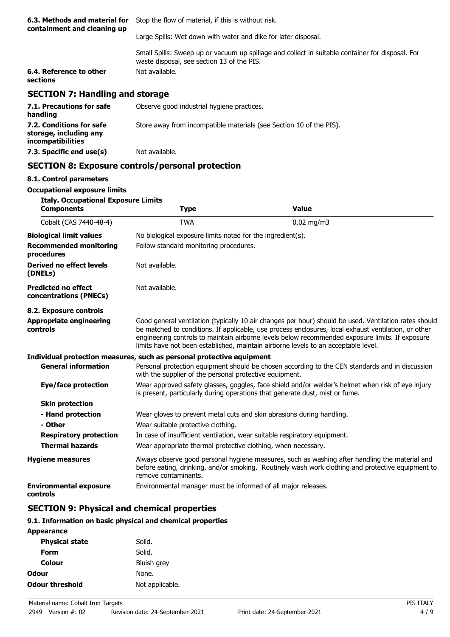| 6.3. Methods and material for<br>containment and cleaning up | Stop the flow of material, if this is without risk.                                                                                            |
|--------------------------------------------------------------|------------------------------------------------------------------------------------------------------------------------------------------------|
|                                                              | Large Spills: Wet down with water and dike for later disposal.                                                                                 |
|                                                              | Small Spills: Sweep up or vacuum up spillage and collect in suitable container for disposal. For<br>waste disposal, see section 13 of the PIS. |
| 6.4. Reference to other<br>sections                          | Not available.                                                                                                                                 |
| <b>SECTION 7: Handling and storage</b>                       |                                                                                                                                                |
| 7.1. Precautions for safe<br>handling                        | Observe good industrial hygiene practices.                                                                                                     |
| 7.2. Conditions for safe<br>storage, including any           | Store away from incompatible materials (see Section 10 of the PIS).                                                                            |

## **SECTION 8: Exposure controls/personal protection**

#### **8.1. Control parameters**

**incompatibilities**

#### **Occupational exposure limits**

**7.3. Specific end use(s)** Not available.

| <b>Italy. Occupational Exposure Limits</b><br><b>Components</b> | <b>Type</b>                                                               | <b>Value</b>                                                                                                                                                                                                                                                                                                                                                                                           |
|-----------------------------------------------------------------|---------------------------------------------------------------------------|--------------------------------------------------------------------------------------------------------------------------------------------------------------------------------------------------------------------------------------------------------------------------------------------------------------------------------------------------------------------------------------------------------|
| Cobalt (CAS 7440-48-4)                                          | <b>TWA</b>                                                                | $0,02$ mg/m3                                                                                                                                                                                                                                                                                                                                                                                           |
| <b>Biological limit values</b>                                  | No biological exposure limits noted for the ingredient(s).                |                                                                                                                                                                                                                                                                                                                                                                                                        |
| <b>Recommended monitoring</b><br>procedures                     | Follow standard monitoring procedures.                                    |                                                                                                                                                                                                                                                                                                                                                                                                        |
| Derived no effect levels<br>(DNELs)                             | Not available.                                                            |                                                                                                                                                                                                                                                                                                                                                                                                        |
| <b>Predicted no effect</b><br>concentrations (PNECs)            | Not available.                                                            |                                                                                                                                                                                                                                                                                                                                                                                                        |
| 8.2. Exposure controls                                          |                                                                           |                                                                                                                                                                                                                                                                                                                                                                                                        |
| <b>Appropriate engineering</b><br>controls                      |                                                                           | Good general ventilation (typically 10 air changes per hour) should be used. Ventilation rates should<br>be matched to conditions. If applicable, use process enclosures, local exhaust ventilation, or other<br>engineering controls to maintain airborne levels below recommended exposure limits. If exposure<br>limits have not been established, maintain airborne levels to an acceptable level. |
|                                                                 | Individual protection measures, such as personal protective equipment     |                                                                                                                                                                                                                                                                                                                                                                                                        |
| <b>General information</b>                                      | with the supplier of the personal protective equipment.                   | Personal protection equipment should be chosen according to the CEN standards and in discussion                                                                                                                                                                                                                                                                                                        |
| Eye/face protection                                             |                                                                           | Wear approved safety glasses, goggles, face shield and/or welder's helmet when risk of eye injury<br>is present, particularly during operations that generate dust, mist or fume.                                                                                                                                                                                                                      |
| <b>Skin protection</b>                                          |                                                                           |                                                                                                                                                                                                                                                                                                                                                                                                        |
| - Hand protection                                               | Wear gloves to prevent metal cuts and skin abrasions during handling.     |                                                                                                                                                                                                                                                                                                                                                                                                        |
| - Other                                                         | Wear suitable protective clothing.                                        |                                                                                                                                                                                                                                                                                                                                                                                                        |
| <b>Respiratory protection</b>                                   | In case of insufficient ventilation, wear suitable respiratory equipment. |                                                                                                                                                                                                                                                                                                                                                                                                        |
| <b>Thermal hazards</b>                                          | Wear appropriate thermal protective clothing, when necessary.             |                                                                                                                                                                                                                                                                                                                                                                                                        |
| <b>Hygiene measures</b>                                         | remove contaminants.                                                      | Always observe good personal hygiene measures, such as washing after handling the material and<br>before eating, drinking, and/or smoking. Routinely wash work clothing and protective equipment to                                                                                                                                                                                                    |
| <b>Environmental exposure</b><br>controls                       | Environmental manager must be informed of all major releases.             |                                                                                                                                                                                                                                                                                                                                                                                                        |

## **SECTION 9: Physical and chemical properties**

#### **9.1. Information on basic physical and chemical properties**

| <b>Appearance</b>      |                 |
|------------------------|-----------------|
| <b>Physical state</b>  | Solid.          |
| Form                   | Solid.          |
| Colour                 | Bluish grey     |
| Odour                  | None.           |
| <b>Odour threshold</b> | Not applicable. |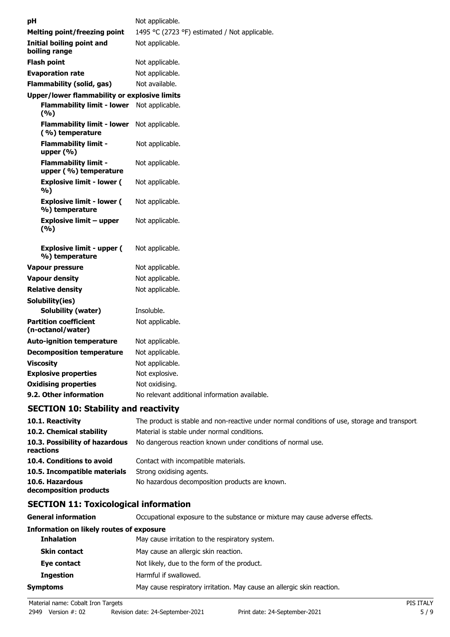| рH |                                                      | Not applicable.                               |
|----|------------------------------------------------------|-----------------------------------------------|
|    | Melting point/freezing point                         | 1495 °C (2723 °F) estimated / Not applicable. |
|    | <b>Initial boiling point and</b><br>boiling range    | Not applicable.                               |
|    | <b>Flash point</b>                                   | Not applicable.                               |
|    | <b>Evaporation rate</b>                              | Not applicable.                               |
|    | <b>Flammability (solid, gas)</b>                     | Not available.                                |
|    | <b>Upper/lower flammability or explosive limits</b>  |                                               |
|    | <b>Flammability limit - lower</b><br>(%)             | Not applicable.                               |
|    | <b>Flammability limit - lower</b><br>(%) temperature | Not applicable.                               |
|    | <b>Flammability limit -</b><br>upper (%)             | Not applicable.                               |
|    | <b>Flammability limit -</b><br>upper (%) temperature | Not applicable.                               |
|    | <b>Explosive limit - lower (</b><br>%)               | Not applicable.                               |
|    | <b>Explosive limit - lower (</b><br>%) temperature   | Not applicable.                               |
|    | Explosive limit – upper<br>(%)                       | Not applicable.                               |
|    | <b>Explosive limit - upper (</b><br>%) temperature   | Not applicable.                               |
|    | Vapour pressure                                      | Not applicable.                               |
|    | <b>Vapour density</b>                                | Not applicable.                               |
|    | <b>Relative density</b>                              | Not applicable.                               |
|    | Solubility(ies)                                      |                                               |
|    | Solubility (water)                                   | Insoluble.                                    |
|    | <b>Partition coefficient</b><br>(n-octanol/water)    | Not applicable.                               |
|    | <b>Auto-ignition temperature</b>                     | Not applicable.                               |
|    | <b>Decomposition temperature</b>                     | Not applicable.                               |
|    | <b>Viscosity</b>                                     | Not applicable.                               |
|    | <b>Explosive properties</b>                          | Not explosive.                                |
|    | <b>Oxidising properties</b>                          | Not oxidising.                                |
|    | 9.2. Other information                               | No relevant additional information available. |
|    |                                                      |                                               |

## **SECTION 10: Stability and reactivity**

| 10.1. Reactivity                            | The product is stable and non-reactive under normal conditions of use, storage and transport |
|---------------------------------------------|----------------------------------------------------------------------------------------------|
| 10.2. Chemical stability                    | Material is stable under normal conditions.                                                  |
| 10.3. Possibility of hazardous<br>reactions | No dangerous reaction known under conditions of normal use.                                  |
| 10.4. Conditions to avoid                   | Contact with incompatible materials.                                                         |
| 10.5. Incompatible materials                | Strong oxidising agents.                                                                     |
| 10.6. Hazardous<br>decomposition products   | No hazardous decomposition products are known.                                               |

## **SECTION 11: Toxicological information**

**General information CCCUPATION** Occupational exposure to the substance or mixture may cause adverse effects.

### **Information on likely routes of exposure**

| <b>Inhalation</b>   | May cause irritation to the respiratory system.                        |  |
|---------------------|------------------------------------------------------------------------|--|
| <b>Skin contact</b> | May cause an allergic skin reaction.                                   |  |
| Eye contact         | Not likely, due to the form of the product.                            |  |
| <b>Ingestion</b>    | Harmful if swallowed.                                                  |  |
| Symptoms            | May cause respiratory irritation. May cause an allergic skin reaction. |  |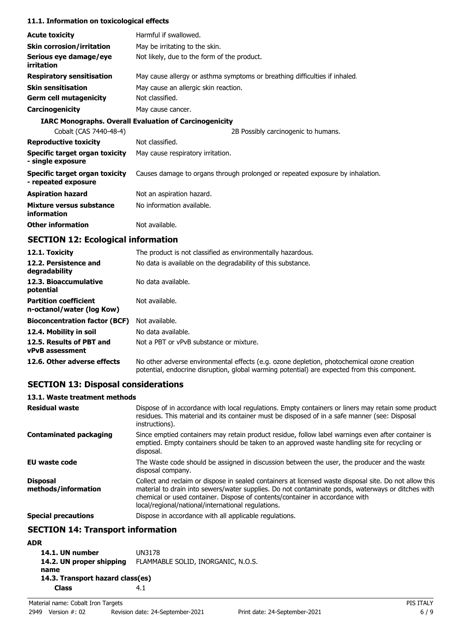#### **11.1. Information on toxicological effects**

| <b>Acute toxicity</b>                                 | Harmful if swallowed.                                                         |
|-------------------------------------------------------|-------------------------------------------------------------------------------|
| <b>Skin corrosion/irritation</b>                      | May be irritating to the skin.                                                |
| Serious eye damage/eye<br>irritation                  | Not likely, due to the form of the product.                                   |
| <b>Respiratory sensitisation</b>                      | May cause allergy or asthma symptoms or breathing difficulties if inhaled.    |
| <b>Skin sensitisation</b>                             | May cause an allergic skin reaction.                                          |
| <b>Germ cell mutagenicity</b>                         | Not classified.                                                               |
| <b>Carcinogenicity</b>                                | May cause cancer.                                                             |
|                                                       | <b>IARC Monographs. Overall Evaluation of Carcinogenicity</b>                 |
| Cobalt (CAS 7440-48-4)                                | 2B Possibly carcinogenic to humans.                                           |
| <b>Reproductive toxicity</b>                          | Not classified.                                                               |
| Specific target organ toxicity<br>- single exposure   | May cause respiratory irritation.                                             |
| Specific target organ toxicity<br>- repeated exposure | Causes damage to organs through prolonged or repeated exposure by inhalation. |
| <b>Aspiration hazard</b>                              | Not an aspiration hazard.                                                     |
| Mixture versus substance<br>information               | No information available.                                                     |
| <b>Other information</b>                              | Not available.                                                                |

## **SECTION 12: Ecological information**

| 12.1. Toxicity                                            | The product is not classified as environmentally hazardous.                                                                                                                                |
|-----------------------------------------------------------|--------------------------------------------------------------------------------------------------------------------------------------------------------------------------------------------|
| 12.2. Persistence and<br>degradability                    | No data is available on the degradability of this substance.                                                                                                                               |
| 12.3. Bioaccumulative<br>potential                        | No data available.                                                                                                                                                                         |
| <b>Partition coefficient</b><br>n-octanol/water (log Kow) | Not available.                                                                                                                                                                             |
| <b>Bioconcentration factor (BCF)</b>                      | Not available.                                                                                                                                                                             |
| 12.4. Mobility in soil                                    | No data available.                                                                                                                                                                         |
| 12.5. Results of PBT and<br><b>vPvB</b> assessment        | Not a PBT or vPvB substance or mixture.                                                                                                                                                    |
| 12.6. Other adverse effects                               | No other adverse environmental effects (e.g. ozone depletion, photochemical ozone creation<br>potential, endocrine disruption, global warming potential) are expected from this component. |

## **SECTION 13: Disposal considerations**

#### **13.1. Waste treatment methods**

| <b>Residual waste</b>                  | Dispose of in accordance with local regulations. Empty containers or liners may retain some product<br>residues. This material and its container must be disposed of in a safe manner (see: Disposal<br>instructions).                                                                                                                            |
|----------------------------------------|---------------------------------------------------------------------------------------------------------------------------------------------------------------------------------------------------------------------------------------------------------------------------------------------------------------------------------------------------|
| <b>Contaminated packaging</b>          | Since emptied containers may retain product residue, follow label warnings even after container is<br>emptied. Empty containers should be taken to an approved waste handling site for recycling or<br>disposal.                                                                                                                                  |
| <b>EU waste code</b>                   | The Waste code should be assigned in discussion between the user, the producer and the waste<br>disposal company.                                                                                                                                                                                                                                 |
| <b>Disposal</b><br>methods/information | Collect and reclaim or dispose in sealed containers at licensed waste disposal site. Do not allow this<br>material to drain into sewers/water supplies. Do not contaminate ponds, waterways or ditches with<br>chemical or used container. Dispose of contents/container in accordance with<br>local/regional/national/international regulations. |
| <b>Special precautions</b>             | Dispose in accordance with all applicable regulations.                                                                                                                                                                                                                                                                                            |

## **SECTION 14: Transport information**

### **ADR**

| 14.1. UN number                  | <b>UN3178</b>                      |  |
|----------------------------------|------------------------------------|--|
| 14.2. UN proper shipping         | FLAMMABLE SOLID, INORGANIC, N.O.S. |  |
| name                             |                                    |  |
| 14.3. Transport hazard class(es) |                                    |  |
| <b>Class</b>                     | 4.1                                |  |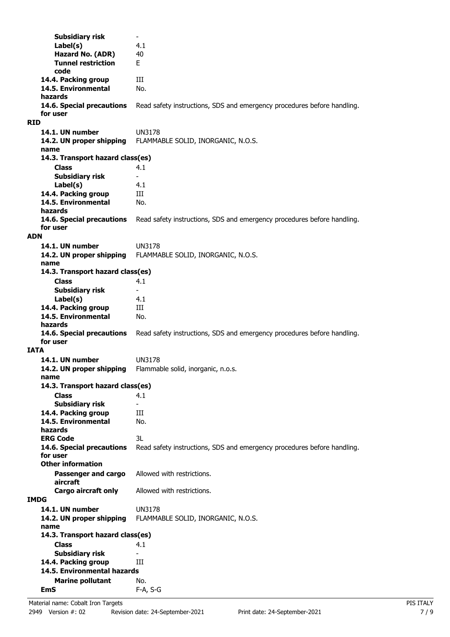**Subsidiary risk Label(s)** 4.1 **Hazard No. (ADR)** 40 **Tunnel restriction** E **code 14.4. Packing group III 14.5. Environmental** No. **hazards 14.6. Special precautions** Read safety instructions, SDS and emergency procedures before handling. **for user RID 14.1. UN number** UN3178 **14.2. UN proper shipping** FLAMMABLE SOLID, INORGANIC, N.O.S. **name Class** 4.1 **14.3. Transport hazard class(es) Subsidiary risk Label(s)** 4.1 14.4. Packing group **III 14.5. Environmental** No. **hazards 14.6. Special precautions** Read safety instructions, SDS and emergency procedures before handling. **for user ADN 14.1. UN number** UN3178 **14.2. UN proper shipping** FLAMMABLE SOLID, INORGANIC, N.O.S. **name Class** 4.1 **14.3. Transport hazard class(es) Subsidiary risk Label(s)** 4.1 **14.4. Packing group III 14.5. Environmental** No. **hazards 14.6. Special precautions** Read safety instructions, SDS and emergency procedures before handling. **for user IATA 14.1. UN number** UN3178 **14.2. UN proper shipping** Flammable solid, inorganic, n.o.s. **name Class** 4.1 **14.3. Transport hazard class(es) Subsidiary risk** 14.4. Packing group **III 14.5. Environmental** No. **hazards ERG Code** 3L **14.6. Special precautions** Read safety instructions, SDS and emergency procedures before handling. **for user Passenger and cargo** Allowed with restrictions. **aircraft Other information Cargo aircraft only** Allowed with restrictions. **IMDG 14.1. UN number** UN3178 **14.2. UN proper shipping** FLAMMABLE SOLID, INORGANIC, N.O.S. **name Class** 4.1 **14.3. Transport hazard class(es) Subsidiary risk 14.4. Packing group III Marine pollutant** No. **14.5. Environmental hazards EmS** F-A, S-G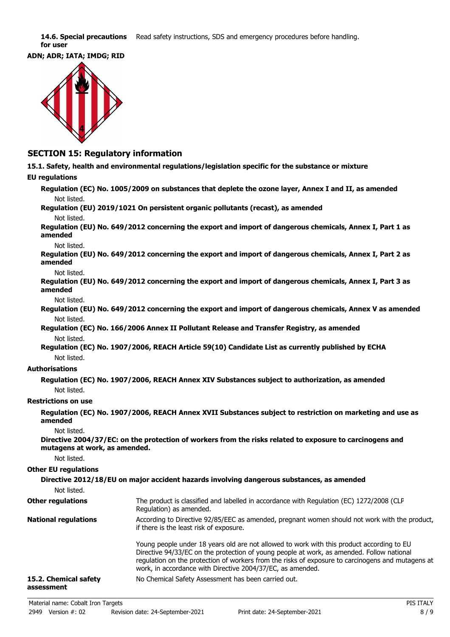14.6. Special precautions Read safety instructions, SDS and emergency procedures before handling. **for user**





### **SECTION 15: Regulatory information**

**15.1. Safety, health and environmental regulations/legislation specific for the substance or mixture**

#### **EU regulations**

**Regulation (EC) No. 1005/2009 on substances that deplete the ozone layer, Annex I and II, as amended** Not listed.

**Regulation (EU) 2019/1021 On persistent organic pollutants (recast), as amended** Not listed.

**Regulation (EU) No. 649/2012 concerning the export and import of dangerous chemicals, Annex I, Part 1 as amended**

Not listed.

**Regulation (EU) No. 649/2012 concerning the export and import of dangerous chemicals, Annex I, Part 2 as amended**

Not listed.

**Regulation (EU) No. 649/2012 concerning the export and import of dangerous chemicals, Annex I, Part 3 as amended**

Not listed.

**Regulation (EU) No. 649/2012 concerning the export and import of dangerous chemicals, Annex V as amended** Not listed.

**Regulation (EC) No. 166/2006 Annex II Pollutant Release and Transfer Registry, as amended** Not listed.

**Regulation (EC) No. 1907/2006, REACH Article 59(10) Candidate List as currently published by ECHA** Not listed.

#### **Authorisations**

**Regulation (EC) No. 1907/2006, REACH Annex XIV Substances subject to authorization, as amended** Not listed.

#### **Restrictions on use**

**Regulation (EC) No. 1907/2006, REACH Annex XVII Substances subject to restriction on marketing and use as amended**

Not listed.

**Directive 2004/37/EC: on the protection of workers from the risks related to exposure to carcinogens and mutagens at work, as amended.**

Not listed.

#### **Other EU regulations**

| Not listed.                         | Directive 2012/18/EU on major accident hazards involving dangerous substances, as amended                                                                                                                                                                                                                                                                 |
|-------------------------------------|-----------------------------------------------------------------------------------------------------------------------------------------------------------------------------------------------------------------------------------------------------------------------------------------------------------------------------------------------------------|
| <b>Other regulations</b>            | The product is classified and labelled in accordance with Regulation (EC) 1272/2008 (CLP<br>Regulation) as amended.                                                                                                                                                                                                                                       |
| <b>National regulations</b>         | According to Directive 92/85/EEC as amended, pregnant women should not work with the product,<br>if there is the least risk of exposure.                                                                                                                                                                                                                  |
|                                     | Young people under 18 years old are not allowed to work with this product according to EU<br>Directive 94/33/EC on the protection of young people at work, as amended. Follow national<br>regulation on the protection of workers from the risks of exposure to carcinogens and mutagens at<br>work, in accordance with Directive 2004/37/EC, as amended. |
| 15.2. Chemical safety<br>assessment | No Chemical Safety Assessment has been carried out.                                                                                                                                                                                                                                                                                                       |